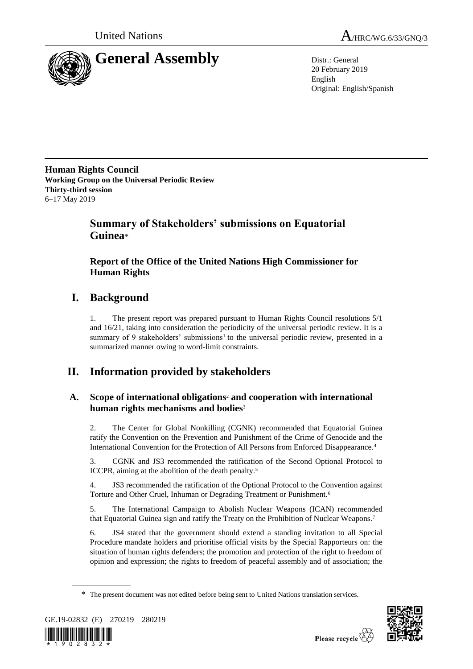



20 February 2019 English Original: English/Spanish

**Human Rights Council Working Group on the Universal Periodic Review Thirty-third session** 6–17 May 2019

# **Summary of Stakeholders' submissions on Equatorial Guinea**\*

## **Report of the Office of the United Nations High Commissioner for Human Rights**

# **I. Background**

1. The present report was prepared pursuant to Human Rights Council resolutions 5/1 and 16/21, taking into consideration the periodicity of the universal periodic review. It is a summary of 9 stakeholders' submissions<sup>1</sup> to the universal periodic review, presented in a summarized manner owing to word-limit constraints.

# **II. Information provided by stakeholders**

## **A. Scope of international obligations**<sup>2</sup> **and cooperation with international human rights mechanisms and bodies**<sup>3</sup>

2. The Center for Global Nonkilling (CGNK) recommended that Equatorial Guinea ratify the Convention on the Prevention and Punishment of the Crime of Genocide and the International Convention for the Protection of All Persons from Enforced Disappearance.<sup>4</sup>

3. CGNK and JS3 recommended the ratification of the Second Optional Protocol to ICCPR, aiming at the abolition of the death penalty.<sup>5</sup>

4. JS3 recommended the ratification of the Optional Protocol to the Convention against Torture and Other Cruel, Inhuman or Degrading Treatment or Punishment.<sup>6</sup>

5. The International Campaign to Abolish Nuclear Weapons (ICAN) recommended that Equatorial Guinea sign and ratify the Treaty on the Prohibition of Nuclear Weapons.<sup>7</sup>

6. JS4 stated that the government should extend a standing invitation to all Special Procedure mandate holders and prioritise official visits by the Special Rapporteurs on: the situation of human rights defenders; the promotion and protection of the right to freedom of opinion and expression; the rights to freedom of peaceful assembly and of association; the

<sup>\*</sup> The present document was not edited before being sent to United Nations translation services.



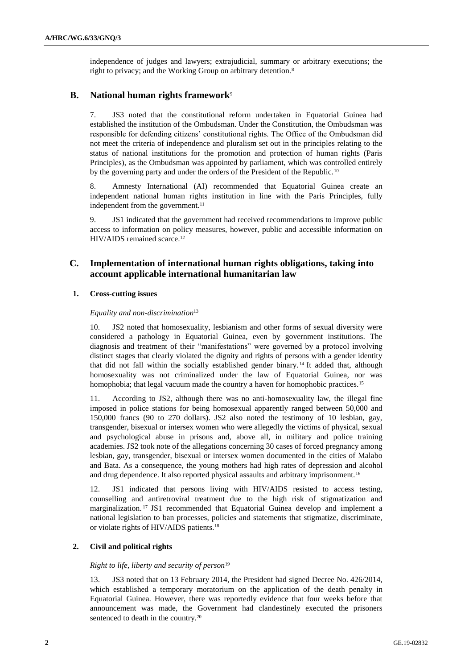independence of judges and lawyers; extrajudicial, summary or arbitrary executions; the right to privacy; and the Working Group on arbitrary detention.<sup>8</sup>

## **B. National human rights framework**<sup>9</sup>

7. JS3 noted that the constitutional reform undertaken in Equatorial Guinea had established the institution of the Ombudsman. Under the Constitution, the Ombudsman was responsible for defending citizens' constitutional rights. The Office of the Ombudsman did not meet the criteria of independence and pluralism set out in the principles relating to the status of national institutions for the promotion and protection of human rights (Paris Principles), as the Ombudsman was appointed by parliament, which was controlled entirely by the governing party and under the orders of the President of the Republic.<sup>10</sup>

8. Amnesty International (AI) recommended that Equatorial Guinea create an independent national human rights institution in line with the Paris Principles, fully independent from the government.<sup>11</sup>

9. JS1 indicated that the government had received recommendations to improve public access to information on policy measures, however, public and accessible information on HIV/AIDS remained scarce.<sup>12</sup>

## **C. Implementation of international human rights obligations, taking into account applicable international humanitarian law**

### **1. Cross-cutting issues**

#### *Equality and non-discrimination*<sup>13</sup>

10. JS2 noted that homosexuality, lesbianism and other forms of sexual diversity were considered a pathology in Equatorial Guinea, even by government institutions. The diagnosis and treatment of their "manifestations" were governed by a protocol involving distinct stages that clearly violated the dignity and rights of persons with a gender identity that did not fall within the socially established gender binary. <sup>14</sup> It added that, although homosexuality was not criminalized under the law of Equatorial Guinea, nor was homophobia; that legal vacuum made the country a haven for homophobic practices.<sup>15</sup>

11. According to JS2, although there was no anti-homosexuality law, the illegal fine imposed in police stations for being homosexual apparently ranged between 50,000 and 150,000 francs (90 to 270 dollars). JS2 also noted the testimony of 10 lesbian, gay, transgender, bisexual or intersex women who were allegedly the victims of physical, sexual and psychological abuse in prisons and, above all, in military and police training academies. JS2 took note of the allegations concerning 30 cases of forced pregnancy among lesbian, gay, transgender, bisexual or intersex women documented in the cities of Malabo and Bata. As a consequence, the young mothers had high rates of depression and alcohol and drug dependence. It also reported physical assaults and arbitrary imprisonment.<sup>16</sup>

12. JS1 indicated that persons living with HIV/AIDS resisted to access testing, counselling and antiretroviral treatment due to the high risk of stigmatization and marginalization. <sup>17</sup> JS1 recommended that Equatorial Guinea develop and implement a national legislation to ban processes, policies and statements that stigmatize, discriminate, or violate rights of HIV/AIDS patients.<sup>18</sup>

## **2. Civil and political rights**

#### *Right to life, liberty and security of person*<sup>19</sup>

13. JS3 noted that on 13 February 2014, the President had signed Decree No. 426/2014, which established a temporary moratorium on the application of the death penalty in Equatorial Guinea. However, there was reportedly evidence that four weeks before that announcement was made, the Government had clandestinely executed the prisoners sentenced to death in the country.<sup>20</sup>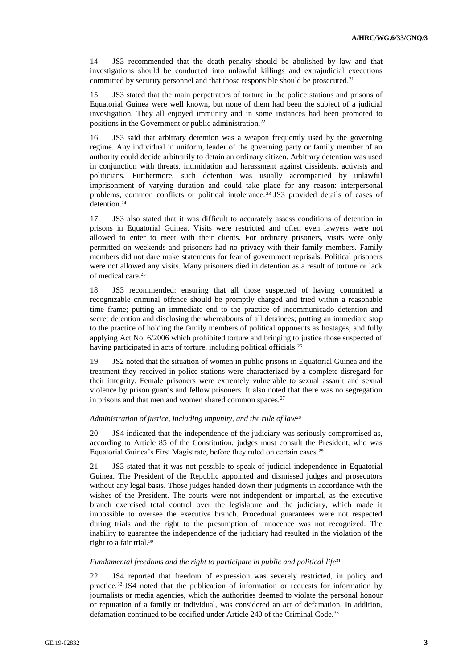14. JS3 recommended that the death penalty should be abolished by law and that investigations should be conducted into unlawful killings and extrajudicial executions committed by security personnel and that those responsible should be prosecuted.<sup>21</sup>

15. JS3 stated that the main perpetrators of torture in the police stations and prisons of Equatorial Guinea were well known, but none of them had been the subject of a judicial investigation. They all enjoyed immunity and in some instances had been promoted to positions in the Government or public administration.<sup>22</sup>

16. JS3 said that arbitrary detention was a weapon frequently used by the governing regime. Any individual in uniform, leader of the governing party or family member of an authority could decide arbitrarily to detain an ordinary citizen. Arbitrary detention was used in conjunction with threats, intimidation and harassment against dissidents, activists and politicians. Furthermore, such detention was usually accompanied by unlawful imprisonment of varying duration and could take place for any reason: interpersonal problems, common conflicts or political intolerance.<sup>23</sup> JS3 provided details of cases of detention.<sup>24</sup>

17. JS3 also stated that it was difficult to accurately assess conditions of detention in prisons in Equatorial Guinea. Visits were restricted and often even lawyers were not allowed to enter to meet with their clients. For ordinary prisoners, visits were only permitted on weekends and prisoners had no privacy with their family members. Family members did not dare make statements for fear of government reprisals. Political prisoners were not allowed any visits. Many prisoners died in detention as a result of torture or lack of medical care.<sup>25</sup>

18. JS3 recommended: ensuring that all those suspected of having committed a recognizable criminal offence should be promptly charged and tried within a reasonable time frame; putting an immediate end to the practice of incommunicado detention and secret detention and disclosing the whereabouts of all detainees; putting an immediate stop to the practice of holding the family members of political opponents as hostages; and fully applying Act No. 6/2006 which prohibited torture and bringing to justice those suspected of having participated in acts of torture, including political officials.<sup>26</sup>

19. JS2 noted that the situation of women in public prisons in Equatorial Guinea and the treatment they received in police stations were characterized by a complete disregard for their integrity. Female prisoners were extremely vulnerable to sexual assault and sexual violence by prison guards and fellow prisoners. It also noted that there was no segregation in prisons and that men and women shared common spaces. $27$ 

#### *Administration of justice, including impunity, and the rule of law*<sup>28</sup>

20. JS4 indicated that the independence of the judiciary was seriously compromised as, according to Article 85 of the Constitution, judges must consult the President, who was Equatorial Guinea's First Magistrate, before they ruled on certain cases.<sup>29</sup>

21. JS3 stated that it was not possible to speak of judicial independence in Equatorial Guinea. The President of the Republic appointed and dismissed judges and prosecutors without any legal basis. Those judges handed down their judgments in accordance with the wishes of the President. The courts were not independent or impartial, as the executive branch exercised total control over the legislature and the judiciary, which made it impossible to oversee the executive branch. Procedural guarantees were not respected during trials and the right to the presumption of innocence was not recognized. The inability to guarantee the independence of the judiciary had resulted in the violation of the right to a fair trial.<sup>30</sup>

#### *Fundamental freedoms and the right to participate in public and political life*<sup>31</sup>

22. JS4 reported that freedom of expression was severely restricted, in policy and practice.<sup>32</sup> JS4 noted that the publication of information or requests for information by journalists or media agencies, which the authorities deemed to violate the personal honour or reputation of a family or individual, was considered an act of defamation. In addition, defamation continued to be codified under Article 240 of the Criminal Code.<sup>33</sup>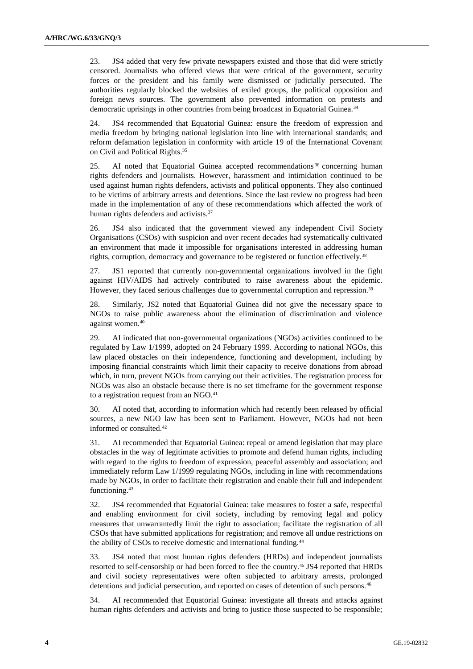23. JS4 added that very few private newspapers existed and those that did were strictly censored. Journalists who offered views that were critical of the government, security forces or the president and his family were dismissed or judicially persecuted. The authorities regularly blocked the websites of exiled groups, the political opposition and foreign news sources. The government also prevented information on protests and democratic uprisings in other countries from being broadcast in Equatorial Guinea.<sup>34</sup>

24. JS4 recommended that Equatorial Guinea: ensure the freedom of expression and media freedom by bringing national legislation into line with international standards; and reform defamation legislation in conformity with article 19 of the International Covenant on Civil and Political Rights.<sup>35</sup>

25. AI noted that Equatorial Guinea accepted recommendations<sup>36</sup> concerning human rights defenders and journalists. However, harassment and intimidation continued to be used against human rights defenders, activists and political opponents. They also continued to be victims of arbitrary arrests and detentions. Since the last review no progress had been made in the implementation of any of these recommendations which affected the work of human rights defenders and activists.<sup>37</sup>

26. JS4 also indicated that the government viewed any independent Civil Society Organisations (CSOs) with suspicion and over recent decades had systematically cultivated an environment that made it impossible for organisations interested in addressing human rights, corruption, democracy and governance to be registered or function effectively.<sup>38</sup>

27. JS1 reported that currently non-governmental organizations involved in the fight against HIV/AIDS had actively contributed to raise awareness about the epidemic. However, they faced serious challenges due to governmental corruption and repression.<sup>39</sup>

28. Similarly, JS2 noted that Equatorial Guinea did not give the necessary space to NGOs to raise public awareness about the elimination of discrimination and violence against women.<sup>40</sup>

29. AI indicated that non-governmental organizations (NGOs) activities continued to be regulated by Law 1/1999, adopted on 24 February 1999. According to national NGOs, this law placed obstacles on their independence, functioning and development, including by imposing financial constraints which limit their capacity to receive donations from abroad which, in turn, prevent NGOs from carrying out their activities. The registration process for NGOs was also an obstacle because there is no set timeframe for the government response to a registration request from an NGO.<sup>41</sup>

30. AI noted that, according to information which had recently been released by official sources, a new NGO law has been sent to Parliament. However, NGOs had not been informed or consulted.<sup>42</sup>

31. AI recommended that Equatorial Guinea: repeal or amend legislation that may place obstacles in the way of legitimate activities to promote and defend human rights, including with regard to the rights to freedom of expression, peaceful assembly and association; and immediately reform Law 1/1999 regulating NGOs, including in line with recommendations made by NGOs, in order to facilitate their registration and enable their full and independent functioning.<sup>43</sup>

32. JS4 recommended that Equatorial Guinea: take measures to foster a safe, respectful and enabling environment for civil society, including by removing legal and policy measures that unwarrantedly limit the right to association; facilitate the registration of all CSOs that have submitted applications for registration; and remove all undue restrictions on the ability of CSOs to receive domestic and international funding.<sup>44</sup>

33. JS4 noted that most human rights defenders (HRDs) and independent journalists resorted to self-censorship or had been forced to flee the country.<sup>45</sup> JS4 reported that HRDs and civil society representatives were often subjected to arbitrary arrests, prolonged detentions and judicial persecution, and reported on cases of detention of such persons.<sup>46</sup>

34. AI recommended that Equatorial Guinea: investigate all threats and attacks against human rights defenders and activists and bring to justice those suspected to be responsible;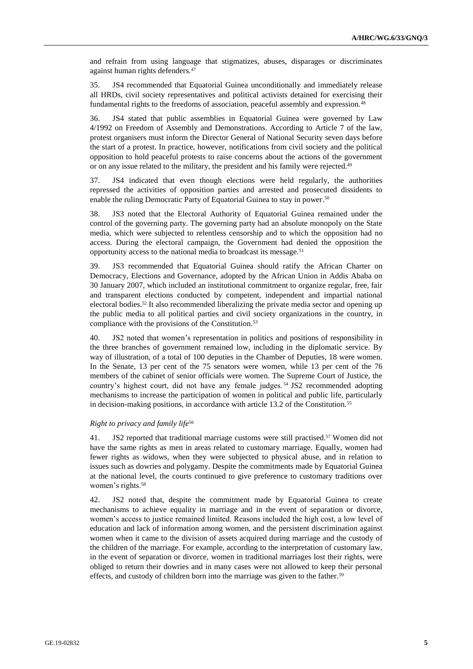and refrain from using language that stigmatizes, abuses, disparages or discriminates against human rights defenders.<sup>47</sup>

35. JS4 recommended that Equatorial Guinea unconditionally and immediately release all HRDs, civil society representatives and political activists detained for exercising their fundamental rights to the freedoms of association, peaceful assembly and expression.<sup>48</sup>

36. JS4 stated that public assemblies in Equatorial Guinea were governed by Law 4/1992 on Freedom of Assembly and Demonstrations. According to Article 7 of the law, protest organisers must inform the Director General of National Security seven days before the start of a protest. In practice, however, notifications from civil society and the political opposition to hold peaceful protests to raise concerns about the actions of the government or on any issue related to the military, the president and his family were rejected.<sup>49</sup>

37. JS4 indicated that even though elections were held regularly, the authorities repressed the activities of opposition parties and arrested and prosecuted dissidents to enable the ruling Democratic Party of Equatorial Guinea to stay in power. 50

38. JS3 noted that the Electoral Authority of Equatorial Guinea remained under the control of the governing party. The governing party had an absolute monopoly on the State media, which were subjected to relentless censorship and to which the opposition had no access. During the electoral campaign, the Government had denied the opposition the opportunity access to the national media to broadcast its message.<sup>51</sup>

39. JS3 recommended that Equatorial Guinea should ratify the African Charter on Democracy, Elections and Governance, adopted by the African Union in Addis Ababa on 30 January 2007, which included an institutional commitment to organize regular, free, fair and transparent elections conducted by competent, independent and impartial national electoral bodies.<sup>52</sup> It also recommended liberalizing the private media sector and opening up the public media to all political parties and civil society organizations in the country, in compliance with the provisions of the Constitution.<sup>53</sup>

40. JS2 noted that women's representation in politics and positions of responsibility in the three branches of government remained low, including in the diplomatic service. By way of illustration, of a total of 100 deputies in the Chamber of Deputies, 18 were women. In the Senate, 13 per cent of the 75 senators were women, while 13 per cent of the 76 members of the cabinet of senior officials were women. The Supreme Court of Justice, the country's highest court, did not have any female judges. <sup>54</sup> JS2 recommended adopting mechanisms to increase the participation of women in political and public life, particularly in decision-making positions, in accordance with article 13.2 of the Constitution.<sup>55</sup>

#### *Right to privacy and family life*<sup>56</sup>

41. JS2 reported that traditional marriage customs were still practised.<sup>57</sup> Women did not have the same rights as men in areas related to customary marriage. Equally, women had fewer rights as widows, when they were subjected to physical abuse, and in relation to issues such as dowries and polygamy. Despite the commitments made by Equatorial Guinea at the national level, the courts continued to give preference to customary traditions over women's rights.<sup>58</sup>

42. JS2 noted that, despite the commitment made by Equatorial Guinea to create mechanisms to achieve equality in marriage and in the event of separation or divorce, women's access to justice remained limited. Reasons included the high cost, a low level of education and lack of information among women, and the persistent discrimination against women when it came to the division of assets acquired during marriage and the custody of the children of the marriage. For example, according to the interpretation of customary law, in the event of separation or divorce, women in traditional marriages lost their rights, were obliged to return their dowries and in many cases were not allowed to keep their personal effects, and custody of children born into the marriage was given to the father.<sup>59</sup>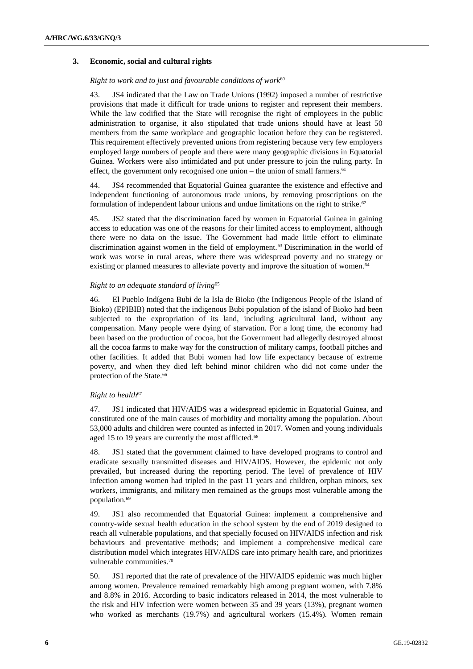## **3. Economic, social and cultural rights**

#### *Right to work and to just and favourable conditions of work*<sup>60</sup>

43. JS4 indicated that the Law on Trade Unions (1992) imposed a number of restrictive provisions that made it difficult for trade unions to register and represent their members. While the law codified that the State will recognise the right of employees in the public administration to organise, it also stipulated that trade unions should have at least 50 members from the same workplace and geographic location before they can be registered. This requirement effectively prevented unions from registering because very few employers employed large numbers of people and there were many geographic divisions in Equatorial Guinea. Workers were also intimidated and put under pressure to join the ruling party. In effect, the government only recognised one union – the union of small farmers.<sup>61</sup>

44. JS4 recommended that Equatorial Guinea guarantee the existence and effective and independent functioning of autonomous trade unions, by removing proscriptions on the formulation of independent labour unions and undue limitations on the right to strike.<sup>62</sup>

45. JS2 stated that the discrimination faced by women in Equatorial Guinea in gaining access to education was one of the reasons for their limited access to employment, although there were no data on the issue. The Government had made little effort to eliminate discrimination against women in the field of employment.<sup>63</sup> Discrimination in the world of work was worse in rural areas, where there was widespread poverty and no strategy or existing or planned measures to alleviate poverty and improve the situation of women.<sup>64</sup>

#### *Right to an adequate standard of living*<sup>65</sup>

46. El Pueblo Indígena Bubi de la Isla de Bioko (the Indigenous People of the Island of Bioko) (EPIBIB) noted that the indigenous Bubi population of the island of Bioko had been subjected to the expropriation of its land, including agricultural land, without any compensation. Many people were dying of starvation. For a long time, the economy had been based on the production of cocoa, but the Government had allegedly destroyed almost all the cocoa farms to make way for the construction of military camps, football pitches and other facilities. It added that Bubi women had low life expectancy because of extreme poverty, and when they died left behind minor children who did not come under the protection of the State.<sup>66</sup>

## *Right to health*<sup>67</sup>

47. JS1 indicated that HIV/AIDS was a widespread epidemic in Equatorial Guinea, and constituted one of the main causes of morbidity and mortality among the population. About 53,000 adults and children were counted as infected in 2017. Women and young individuals aged 15 to 19 years are currently the most afflicted.<sup>68</sup>

48. JS1 stated that the government claimed to have developed programs to control and eradicate sexually transmitted diseases and HIV/AIDS. However, the epidemic not only prevailed, but increased during the reporting period. The level of prevalence of HIV infection among women had tripled in the past 11 years and children, orphan minors, sex workers, immigrants, and military men remained as the groups most vulnerable among the population.<sup>69</sup>

49. JS1 also recommended that Equatorial Guinea: implement a comprehensive and country-wide sexual health education in the school system by the end of 2019 designed to reach all vulnerable populations, and that specially focused on HIV/AIDS infection and risk behaviours and preventative methods; and implement a comprehensive medical care distribution model which integrates HIV/AIDS care into primary health care, and prioritizes vulnerable communities.<sup>70</sup>

50. JS1 reported that the rate of prevalence of the HIV/AIDS epidemic was much higher among women. Prevalence remained remarkably high among pregnant women, with 7.8% and 8.8% in 2016. According to basic indicators released in 2014, the most vulnerable to the risk and HIV infection were women between 35 and 39 years (13%), pregnant women who worked as merchants (19.7%) and agricultural workers (15.4%). Women remain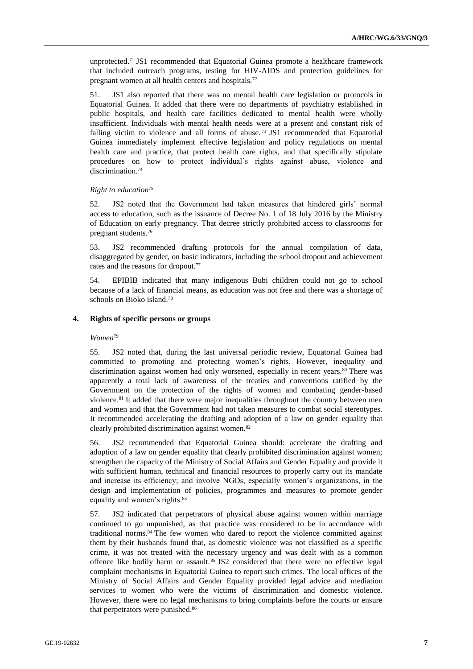unprotected.<sup>71</sup> JS1 recommended that Equatorial Guinea promote a healthcare framework that included outreach programs, testing for HIV-AIDS and protection guidelines for pregnant women at all health centers and hospitals.<sup>72</sup>

51. JS1 also reported that there was no mental health care legislation or protocols in Equatorial Guinea. It added that there were no departments of psychiatry established in public hospitals, and health care facilities dedicated to mental health were wholly insufficient. Individuals with mental health needs were at a present and constant risk of falling victim to violence and all forms of abuse.<sup>73</sup> JS1 recommended that Equatorial Guinea immediately implement effective legislation and policy regulations on mental health care and practice, that protect health care rights, and that specifically stipulate procedures on how to protect individual's rights against abuse, violence and discrimination.<sup>74</sup>

#### *Right to education*<sup>75</sup>

52. JS2 noted that the Government had taken measures that hindered girls' normal access to education, such as the issuance of Decree No. 1 of 18 July 2016 by the Ministry of Education on early pregnancy. That decree strictly prohibited access to classrooms for pregnant students.<sup>76</sup>

53. JS2 recommended drafting protocols for the annual compilation of data, disaggregated by gender, on basic indicators, including the school dropout and achievement rates and the reasons for dropout.<sup>77</sup>

54. EPIBIB indicated that many indigenous Bubi children could not go to school because of a lack of financial means, as education was not free and there was a shortage of schools on Bioko island.<sup>78</sup>

## **4. Rights of specific persons or groups**

#### *Women*<sup>79</sup>

55. JS2 noted that, during the last universal periodic review, Equatorial Guinea had committed to promoting and protecting women's rights. However, inequality and discrimination against women had only worsened, especially in recent years.<sup>80</sup> There was apparently a total lack of awareness of the treaties and conventions ratified by the Government on the protection of the rights of women and combating gender-based violence.<sup>81</sup> It added that there were major inequalities throughout the country between men and women and that the Government had not taken measures to combat social stereotypes. It recommended accelerating the drafting and adoption of a law on gender equality that clearly prohibited discrimination against women.<sup>82</sup>

56. JS2 recommended that Equatorial Guinea should: accelerate the drafting and adoption of a law on gender equality that clearly prohibited discrimination against women; strengthen the capacity of the Ministry of Social Affairs and Gender Equality and provide it with sufficient human, technical and financial resources to properly carry out its mandate and increase its efficiency; and involve NGOs, especially women's organizations, in the design and implementation of policies, programmes and measures to promote gender equality and women's rights.<sup>83</sup>

57. JS2 indicated that perpetrators of physical abuse against women within marriage continued to go unpunished, as that practice was considered to be in accordance with traditional norms.<sup>84</sup> The few women who dared to report the violence committed against them by their husbands found that, as domestic violence was not classified as a specific crime, it was not treated with the necessary urgency and was dealt with as a common offence like bodily harm or assault.<sup>85</sup> JS2 considered that there were no effective legal complaint mechanisms in Equatorial Guinea to report such crimes. The local offices of the Ministry of Social Affairs and Gender Equality provided legal advice and mediation services to women who were the victims of discrimination and domestic violence. However, there were no legal mechanisms to bring complaints before the courts or ensure that perpetrators were punished. 86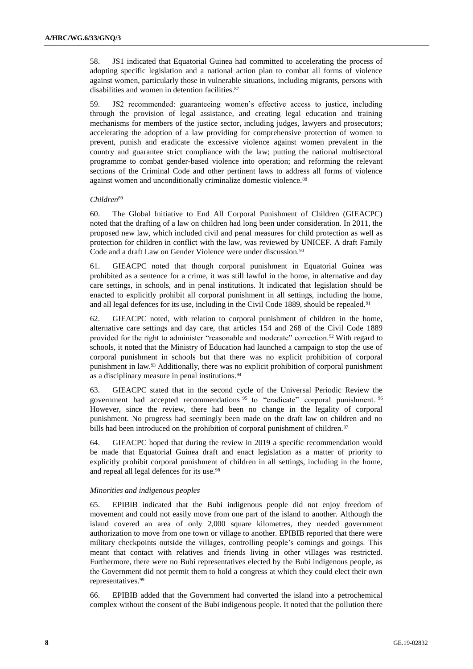58. JS1 indicated that Equatorial Guinea had committed to accelerating the process of adopting specific legislation and a national action plan to combat all forms of violence against women, particularly those in vulnerable situations, including migrants, persons with disabilities and women in detention facilities.<sup>87</sup>

59. JS2 recommended: guaranteeing women's effective access to justice, including through the provision of legal assistance, and creating legal education and training mechanisms for members of the justice sector, including judges, lawyers and prosecutors; accelerating the adoption of a law providing for comprehensive protection of women to prevent, punish and eradicate the excessive violence against women prevalent in the country and guarantee strict compliance with the law; putting the national multisectoral programme to combat gender-based violence into operation; and reforming the relevant sections of the Criminal Code and other pertinent laws to address all forms of violence against women and unconditionally criminalize domestic violence.<sup>88</sup>

#### *Children*<sup>89</sup>

60. The Global Initiative to End All Corporal Punishment of Children (GIEACPC) noted that the drafting of a law on children had long been under consideration. In 2011, the proposed new law, which included civil and penal measures for child protection as well as protection for children in conflict with the law, was reviewed by UNICEF. A draft Family Code and a draft Law on Gender Violence were under discussion.<sup>90</sup>

61. GIEACPC noted that though corporal punishment in Equatorial Guinea was prohibited as a sentence for a crime, it was still lawful in the home, in alternative and day care settings, in schools, and in penal institutions. It indicated that legislation should be enacted to explicitly prohibit all corporal punishment in all settings, including the home, and all legal defences for its use, including in the Civil Code 1889, should be repealed.<sup>91</sup>

62. GIEACPC noted, with relation to corporal punishment of children in the home, alternative care settings and day care, that articles 154 and 268 of the Civil Code 1889 provided for the right to administer "reasonable and moderate" correction.<sup>92</sup> With regard to schools, it noted that the Ministry of Education had launched a campaign to stop the use of corporal punishment in schools but that there was no explicit prohibition of corporal punishment in law.<sup>93</sup> Additionally, there was no explicit prohibition of corporal punishment as a disciplinary measure in penal institutions.<sup>94</sup>

63. GIEACPC stated that in the second cycle of the Universal Periodic Review the government had accepted recommendations <sup>95</sup> to "eradicate" corporal punishment. <sup>96</sup> However, since the review, there had been no change in the legality of corporal punishment. No progress had seemingly been made on the draft law on children and no bills had been introduced on the prohibition of corporal punishment of children.<sup>97</sup>

64. GIEACPC hoped that during the review in 2019 a specific recommendation would be made that Equatorial Guinea draft and enact legislation as a matter of priority to explicitly prohibit corporal punishment of children in all settings, including in the home, and repeal all legal defences for its use.<sup>98</sup>

## *Minorities and indigenous peoples*

65. EPIBIB indicated that the Bubi indigenous people did not enjoy freedom of movement and could not easily move from one part of the island to another. Although the island covered an area of only 2,000 square kilometres, they needed government authorization to move from one town or village to another. EPIBIB reported that there were military checkpoints outside the villages, controlling people's comings and goings. This meant that contact with relatives and friends living in other villages was restricted. Furthermore, there were no Bubi representatives elected by the Bubi indigenous people, as the Government did not permit them to hold a congress at which they could elect their own representatives.<sup>99</sup>

66. EPIBIB added that the Government had converted the island into a petrochemical complex without the consent of the Bubi indigenous people. It noted that the pollution there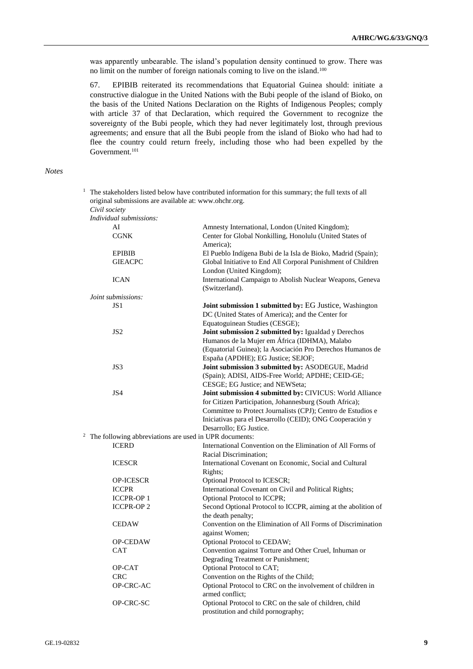was apparently unbearable. The island's population density continued to grow. There was no limit on the number of foreign nationals coming to live on the island.<sup>100</sup>

67. EPIBIB reiterated its recommendations that Equatorial Guinea should: initiate a constructive dialogue in the United Nations with the Bubi people of the island of Bioko, on the basis of the United Nations Declaration on the Rights of Indigenous Peoples; comply with article 37 of that Declaration, which required the Government to recognize the sovereignty of the Bubi people, which they had never legitimately lost, through previous agreements; and ensure that all the Bubi people from the island of Bioko who had had to flee the country could return freely, including those who had been expelled by the Government.<sup>101</sup>

<sup>1</sup> The stakeholders listed below have contributed information for this summary; the full texts of all

#### *Notes*

original submissions are available at: [www.ohchr.org.](http://www.ohchr.org/) *Civil society Individual submissions:* AI Amnesty International, London (United Kingdom); CGNK Center for Global Nonkilling, Honolulu (United States of America); EPIBIB El Pueblo Indígena Bubi de la Isla de Bioko, Madrid (Spain); GIEACPC Global Initiative to End All Corporal Punishment of Children London (United Kingdom); ICAN International Campaign to Abolish Nuclear Weapons, Geneva (Switzerland). *Joint submissions:* JS1 **Joint submission 1 submitted by:** EG Justice, Washington DC (United States of America); and the Center for Equatoguinean Studies (CESGE); JS2 **Joint submission 2 submitted by:** Igualdad y Derechos Humanos de la Mujer em África (IDHMA), Malabo (Equatorial Guinea); la Asociación Pro Derechos Humanos de España (APDHE); EG Justice; SEJOF; JS3 **Joint submission 3 submitted by:** ASODEGUE, Madrid (Spain); ADISI, AIDS-Free World; APDHE; CEID-GE; CESGE; EG Justice; and NEWSeta; JS4 **Joint submission 4 submitted by:** CIVICUS: World Alliance for Citizen Participation, Johannesburg (South Africa); Committee to Protect Journalists (CPJ); Centro de Estudios e Iniciativas para el Desarrollo (CEID); ONG Cooperación y Desarrollo; EG Justice. <sup>2</sup> The following abbreviations are used in UPR documents: ICERD International Convention on the Elimination of All Forms of Racial Discrimination; ICESCR International Covenant on Economic, Social and Cultural Rights; OP-ICESCR Optional Protocol to ICESCR; ICCPR International Covenant on Civil and Political Rights; ICCPR-OP 1 Optional Protocol to ICCPR; ICCPR-OP 2 Second Optional Protocol to ICCPR, aiming at the abolition of the death penalty; CEDAW Convention on the Elimination of All Forms of Discrimination against Women; OP-CEDAW Optional Protocol to CEDAW; CAT Convention against Torture and Other Cruel, Inhuman or Degrading Treatment or Punishment; OP-CAT Optional Protocol to CAT; CRC Convention on the Rights of the Child; OP-CRC-AC Optional Protocol to CRC on the involvement of children in armed conflict; OP-CRC-SC Optional Protocol to CRC on the sale of children, child prostitution and child pornography;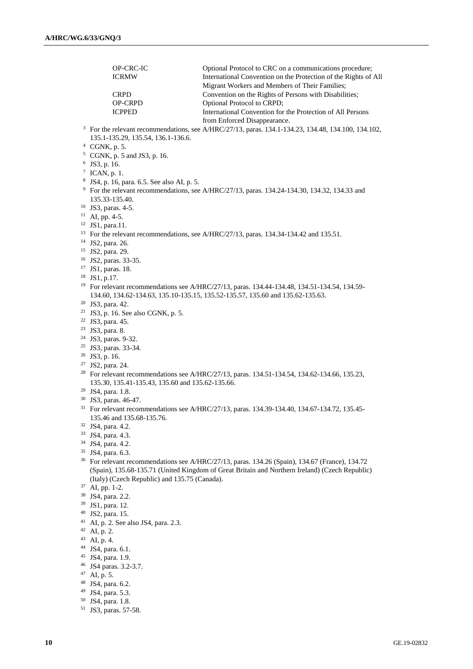OP-CRC-IC Optional Protocol to CRC on a communications procedure;<br>ICRMW International Convention on the Protection of the Rights of International Convention on the Protection of the Rights of All Migrant Workers and Members of Their Families; CRPD Convention on the Rights of Persons with Disabilities; OP-CRPD Optional Protocol to CRPD; ICPPED International Convention for the Protection of All Persons from Enforced Disappearance. For the relevant recommendations, see A/HRC/27/13, paras. 134.1-134.23, 134.48, 134.100, 134.102, 135.1-135.29, 135.54, 136.1-136.6. CGNK, p. 5. CGNK, p. 5 and JS3, p. 16. JS3, p. 16.  $^7$  ICAN, p. 1. JS4, p. 16, para. 6.5. See also AI, p. 5. <sup>9</sup> For the relevant recommendations, see A/HRC/27/13, paras. 134.24-134.30, 134.32, 134.33 and 135.33-135.40. JS3, paras. 4-5. AI, pp. 4-5. JS1, para.11. <sup>13</sup> For the relevant recommendations, see A/HRC/27/13, paras. 134.34-134.42 and 135.51. JS2, para. 26. JS2, para. 29. JS2, paras. 33-35. JS1, paras. 18. JS1, p.17. For relevant recommendations see A/HRC/27/13, paras. 134.44-134.48, 134.51-134.54, 134.59- 134.60, 134.62-134.63, 135.10-135.15, 135.52-135.57, 135.60 and 135.62-135.63. JS3, para. 42. <sup>21</sup> JS3, p. 16. See also CGNK, p. 5. JS3, para. 45. JS3, para. 8. JS3, paras. 9-32. JS3, paras. 33-34. JS3, p. 16. JS2, para. 24. <sup>28</sup> For relevant recommendations see A/HRC/27/13, paras. 134.51-134.54, 134.62-134.66, 135.23, 135.30, 135.41-135.43, 135.60 and 135.62-135.66. JS4, para. 1.8. JS3, paras. 46-47. For relevant recommendations see A/HRC/27/13, paras. 134.39-134.40, 134.67-134.72, 135.45- 135.46 and 135.68-135.76. JS4, para. 4.2. JS4, para. 4.3. JS4, para. 4.2. JS4, para. 6.3. For relevant recommendations see A/HRC/27/13, paras. 134.26 (Spain), 134.67 (France), 134.72 (Spain), 135.68-135.71 (United Kingdom of Great Britain and Northern Ireland) (Czech Republic) (Italy) (Czech Republic) and 135.75 (Canada). AI, pp. 1-2. JS4, para. 2.2. JS1, para. 12. JS2, para. 15. AI, p. 2. See also JS4, para. 2.3. AI, p. 2. AI, p. 4. JS4, para. 6.1. JS4, para. 1.9. JS4 paras. 3.2-3.7. AI, p. 5. JS4, para. 6.2.

- JS4, para. 5.3.
- JS4, para. 1.8.
- JS3, paras. 57-58.